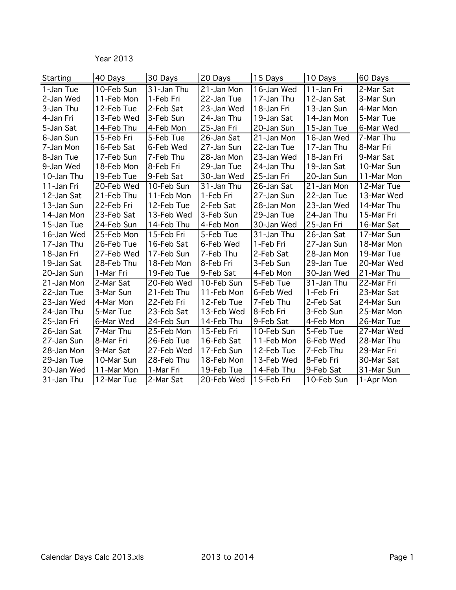| Starting   | 40 Days    | 30 Days    | 20 Days    | 15 Days    | 10 Days    | 60 Days    |
|------------|------------|------------|------------|------------|------------|------------|
| 1-Jan Tue  | 10-Feb Sun | 31-Jan Thu | 21-Jan Mon | 16-Jan Wed | 11-Jan Fri | 2-Mar Sat  |
| 2-Jan Wed  | 11-Feb Mon | 1-Feb Fri  | 22-Jan Tue | 17-Jan Thu | 12-Jan Sat | 3-Mar Sun  |
| 3-Jan Thu  | 12-Feb Tue | 2-Feb Sat  | 23-Jan Wed | 18-Jan Fri | 13-Jan Sun | 4-Mar Mon  |
| 4-Jan Fri  | 13-Feb Wed | 3-Feb Sun  | 24-Jan Thu | 19-Jan Sat | 14-Jan Mon | 5-Mar Tue  |
| 5-Jan Sat  | 14-Feb Thu | 4-Feb Mon  | 25-Jan Fri | 20-Jan Sun | 15-Jan Tue | 6-Mar Wed  |
| 6-Jan Sun  | 15-Feb Fri | 5-Feb Tue  | 26-Jan Sat | 21-Jan Mon | 16-Jan Wed | 7-Mar Thu  |
| 7-Jan Mon  | 16-Feb Sat | 6-Feb Wed  | 27-Jan Sun | 22-Jan Tue | 17-Jan Thu | 8-Mar Fri  |
| 8-Jan Tue  | 17-Feb Sun | 7-Feb Thu  | 28-Jan Mon | 23-Jan Wed | 18-Jan Fri | 9-Mar Sat  |
| 9-Jan Wed  | 18-Feb Mon | 8-Feb Fri  | 29-Jan Tue | 24-Jan Thu | 19-Jan Sat | 10-Mar Sun |
| 10-Jan Thu | 19-Feb Tue | 9-Feb Sat  | 30-Jan Wed | 25-Jan Fri | 20-Jan Sun | 11-Mar Mon |
| 11-Jan Fri | 20-Feb Wed | 10-Feb Sun | 31-Jan Thu | 26-Jan Sat | 21-Jan Mon | 12-Mar Tue |
| 12-Jan Sat | 21-Feb Thu | 11-Feb Mon | 1-Feb Fri  | 27-Jan Sun | 22-Jan Tue | 13-Mar Wed |
| 13-Jan Sun | 22-Feb Fri | 12-Feb Tue | 2-Feb Sat  | 28-Jan Mon | 23-Jan Wed | 14-Mar Thu |
| 14-Jan Mon | 23-Feb Sat | 13-Feb Wed | 3-Feb Sun  | 29-Jan Tue | 24-Jan Thu | 15-Mar Fri |
| 15-Jan Tue | 24-Feb Sun | 14-Feb Thu | 4-Feb Mon  | 30-Jan Wed | 25-Jan Fri | 16-Mar Sat |
| 16-Jan Wed | 25-Feb Mon | 15-Feb Fri | 5-Feb Tue  | 31-Jan Thu | 26-Jan Sat | 17-Mar Sun |
| 17-Jan Thu | 26-Feb Tue | 16-Feb Sat | 6-Feb Wed  | 1-Feb Fri  | 27-Jan Sun | 18-Mar Mon |
| 18-Jan Fri | 27-Feb Wed | 17-Feb Sun | 7-Feb Thu  | 2-Feb Sat  | 28-Jan Mon | 19-Mar Tue |
| 19-Jan Sat | 28-Feb Thu | 18-Feb Mon | 8-Feb Fri  | 3-Feb Sun  | 29-Jan Tue | 20-Mar Wed |
| 20-Jan Sun | 1-Mar Fri  | 19-Feb Tue | 9-Feb Sat  | 4-Feb Mon  | 30-Jan Wed | 21-Mar Thu |
| 21-Jan Mon | 2-Mar Sat  | 20-Feb Wed | 10-Feb Sun | 5-Feb Tue  | 31-Jan Thu | 22-Mar Fri |
| 22-Jan Tue | 3-Mar Sun  | 21-Feb Thu | 11-Feb Mon | 6-Feb Wed  | 1-Feb Fri  | 23-Mar Sat |
| 23-Jan Wed | 4-Mar Mon  | 22-Feb Fri | 12-Feb Tue | 7-Feb Thu  | 2-Feb Sat  | 24-Mar Sun |
| 24-Jan Thu | 5-Mar Tue  | 23-Feb Sat | 13-Feb Wed | 8-Feb Fri  | 3-Feb Sun  | 25-Mar Mon |
| 25-Jan Fri | 6-Mar Wed  | 24-Feb Sun | 14-Feb Thu | 9-Feb Sat  | 4-Feb Mon  | 26-Mar Tue |
| 26-Jan Sat | 7-Mar Thu  | 25-Feb Mon | 15-Feb Fri | 10-Feb Sun | 5-Feb Tue  | 27-Mar Wed |
| 27-Jan Sun | 8-Mar Fri  | 26-Feb Tue | 16-Feb Sat | 11-Feb Mon | 6-Feb Wed  | 28-Mar Thu |
| 28-Jan Mon | 9-Mar Sat  | 27-Feb Wed | 17-Feb Sun | 12-Feb Tue | 7-Feb Thu  | 29-Mar Fri |
| 29-Jan Tue | 10-Mar Sun | 28-Feb Thu | 18-Feb Mon | 13-Feb Wed | 8-Feb Fri  | 30-Mar Sat |
| 30-Jan Wed | 11-Mar Mon | 1-Mar Fri  | 19-Feb Tue | 14-Feb Thu | 9-Feb Sat  | 31-Mar Sun |
| 31-Jan Thu | 12-Mar Tue | 2-Mar Sat  | 20-Feb Wed | 15-Feb Fri | 10-Feb Sun | 1-Apr Mon  |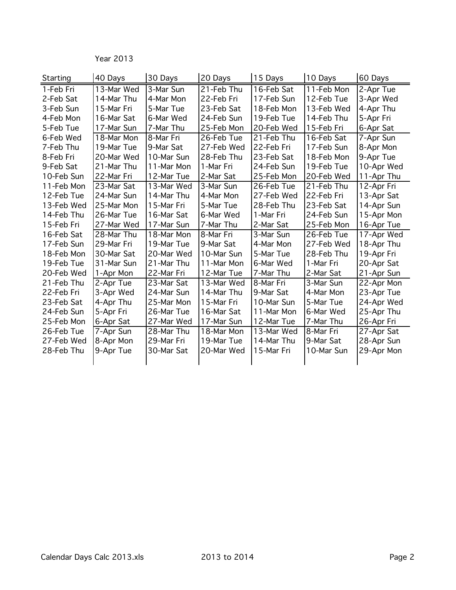| <b>Starting</b> | 40 Days    | 30 Days                 | 20 Days    | 15 Days    | 10 Days    | 60 Days    |
|-----------------|------------|-------------------------|------------|------------|------------|------------|
| 1-Feb Fri       | 13-Mar Wed | $\overline{3}$ -Mar Sun | 21-Feb Thu | 16-Feb Sat | 11-Feb Mon | 2-Apr Tue  |
| 2-Feb Sat       | 14-Mar Thu | 4-Mar Mon               | 22-Feb Fri | 17-Feb Sun | 12-Feb Tue | 3-Apr Wed  |
| 3-Feb Sun       | 15-Mar Fri | 5-Mar Tue               | 23-Feb Sat | 18-Feb Mon | 13-Feb Wed | 4-Apr Thu  |
| 4-Feb Mon       | 16-Mar Sat | 6-Mar Wed               | 24-Feb Sun | 19-Feb Tue | 14-Feb Thu | 5-Apr Fri  |
| 5-Feb Tue       | 17-Mar Sun | 7-Mar Thu               | 25-Feb Mon | 20-Feb Wed | 15-Feb Fri | 6-Apr Sat  |
| 6-Feb Wed       | 18-Mar Mon | 8-Mar Fri               | 26-Feb Tue | 21-Feb Thu | 16-Feb Sat | 7-Apr Sun  |
| 7-Feb Thu       | 19-Mar Tue | 9-Mar Sat               | 27-Feb Wed | 22-Feb Fri | 17-Feb Sun | 8-Apr Mon  |
| 8-Feb Fri       | 20-Mar Wed | 10-Mar Sun              | 28-Feb Thu | 23-Feb Sat | 18-Feb Mon | 9-Apr Tue  |
| 9-Feb Sat       | 21-Mar Thu | 11-Mar Mon              | 1-Mar Fri  | 24-Feb Sun | 19-Feb Tue | 10-Apr Wed |
| 10-Feb Sun      | 22-Mar Fri | 12-Mar Tue              | 2-Mar Sat  | 25-Feb Mon | 20-Feb Wed | 11-Apr Thu |
| 11-Feb Mon      | 23-Mar Sat | 13-Mar Wed              | 3-Mar Sun  | 26-Feb Tue | 21-Feb Thu | 12-Apr Fri |
| 12-Feb Tue      | 24-Mar Sun | 14-Mar Thu              | 4-Mar Mon  | 27-Feb Wed | 22-Feb Fri | 13-Apr Sat |
| 13-Feb Wed      | 25-Mar Mon | 15-Mar Fri              | 5-Mar Tue  | 28-Feb Thu | 23-Feb Sat | 14-Apr Sun |
| 14-Feb Thu      | 26-Mar Tue | 16-Mar Sat              | 6-Mar Wed  | 1-Mar Fri  | 24-Feb Sun | 15-Apr Mon |
| 15-Feb Fri      | 27-Mar Wed | 17-Mar Sun              | 7-Mar Thu  | 2-Mar Sat  | 25-Feb Mon | 16-Apr Tue |
| 16-Feb Sat      | 28-Mar Thu | 18-Mar Mon              | 8-Mar Fri  | 3-Mar Sun  | 26-Feb Tue | 17-Apr Wed |
| 17-Feb Sun      | 29-Mar Fri | 19-Mar Tue              | 9-Mar Sat  | 4-Mar Mon  | 27-Feb Wed | 18-Apr Thu |
| 18-Feb Mon      | 30-Mar Sat | 20-Mar Wed              | 10-Mar Sun | 5-Mar Tue  | 28-Feb Thu | 19-Apr Fri |
| 19-Feb Tue      | 31-Mar Sun | 21-Mar Thu              | 11-Mar Mon | 6-Mar Wed  | 1-Mar Fri  | 20-Apr Sat |
| 20-Feb Wed      | 1-Apr Mon  | 22-Mar Fri              | 12-Mar Tue | 7-Mar Thu  | 2-Mar Sat  | 21-Apr Sun |
| 21-Feb Thu      | 2-Apr Tue  | 23-Mar Sat              | 13-Mar Wed | 8-Mar Fri  | 3-Mar Sun  | 22-Apr Mon |
| 22-Feb Fri      | 3-Apr Wed  | 24-Mar Sun              | 14-Mar Thu | 9-Mar Sat  | 4-Mar Mon  | 23-Apr Tue |
| 23-Feb Sat      | 4-Apr Thu  | 25-Mar Mon              | 15-Mar Fri | 10-Mar Sun | 5-Mar Tue  | 24-Apr Wed |
| 24-Feb Sun      | 5-Apr Fri  | 26-Mar Tue              | 16-Mar Sat | 11-Mar Mon | 6-Mar Wed  | 25-Apr Thu |
| 25-Feb Mon      | 6-Apr Sat  | 27-Mar Wed              | 17-Mar Sun | 12-Mar Tue | 7-Mar Thu  | 26-Apr Fri |
| 26-Feb Tue      | 7-Apr Sun  | 28-Mar Thu              | 18-Mar Mon | 13-Mar Wed | 8-Mar Fri  | 27-Apr Sat |
| 27-Feb Wed      | 8-Apr Mon  | 29-Mar Fri              | 19-Mar Tue | 14-Mar Thu | 9-Mar Sat  | 28-Apr Sun |
| 28-Feb Thu      | 9-Apr Tue  | 30-Mar Sat              | 20-Mar Wed | 15-Mar Fri | 10-Mar Sun | 29-Apr Mon |
|                 |            |                         |            |            |            |            |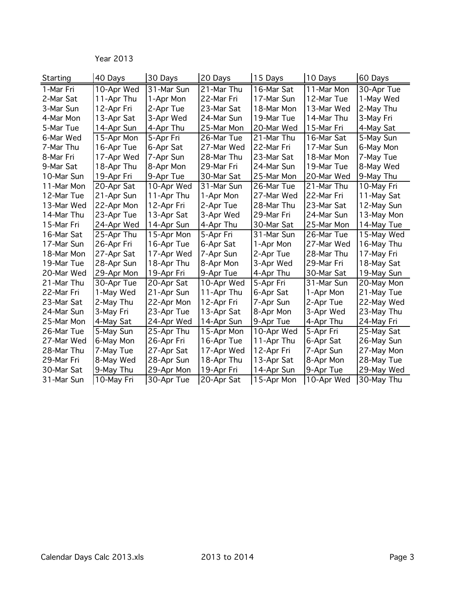| <b>Starting</b> | 40 Days    | 30 Days    | 20 Days    | 15 Days    | 10 Days    | 60 Days    |
|-----------------|------------|------------|------------|------------|------------|------------|
| 1-Mar Fri       | 10-Apr Wed | 31-Mar Sun | 21-Mar Thu | 16-Mar Sat | 11-Mar Mon | 30-Apr Tue |
| 2-Mar Sat       | 11-Apr Thu | 1-Apr Mon  | 22-Mar Fri | 17-Mar Sun | 12-Mar Tue | 1-May Wed  |
| 3-Mar Sun       | 12-Apr Fri | 2-Apr Tue  | 23-Mar Sat | 18-Mar Mon | 13-Mar Wed | 2-May Thu  |
| 4-Mar Mon       | 13-Apr Sat | 3-Apr Wed  | 24-Mar Sun | 19-Mar Tue | 14-Mar Thu | 3-May Fri  |
| 5-Mar Tue       | 14-Apr Sun | 4-Apr Thu  | 25-Mar Mon | 20-Mar Wed | 15-Mar Fri | 4-May Sat  |
| 6-Mar Wed       | 15-Apr Mon | 5-Apr Fri  | 26-Mar Tue | 21-Mar Thu | 16-Mar Sat | 5-May Sun  |
| 7-Mar Thu       | 16-Apr Tue | 6-Apr Sat  | 27-Mar Wed | 22-Mar Fri | 17-Mar Sun | 6-May Mon  |
| 8-Mar Fri       | 17-Apr Wed | 7-Apr Sun  | 28-Mar Thu | 23-Mar Sat | 18-Mar Mon | 7-May Tue  |
| 9-Mar Sat       | 18-Apr Thu | 8-Apr Mon  | 29-Mar Fri | 24-Mar Sun | 19-Mar Tue | 8-May Wed  |
| 10-Mar Sun      | 19-Apr Fri | 9-Apr Tue  | 30-Mar Sat | 25-Mar Mon | 20-Mar Wed | 9-May Thu  |
| 11-Mar Mon      | 20-Apr Sat | 10-Apr Wed | 31-Mar Sun | 26-Mar Tue | 21-Mar Thu | 10-May Fri |
| 12-Mar Tue      | 21-Apr Sun | 11-Apr Thu | 1-Apr Mon  | 27-Mar Wed | 22-Mar Fri | 11-May Sat |
| 13-Mar Wed      | 22-Apr Mon | 12-Apr Fri | 2-Apr Tue  | 28-Mar Thu | 23-Mar Sat | 12-May Sun |
| 14-Mar Thu      | 23-Apr Tue | 13-Apr Sat | 3-Apr Wed  | 29-Mar Fri | 24-Mar Sun | 13-May Mon |
| 15-Mar Fri      | 24-Apr Wed | 14-Apr Sun | 4-Apr Thu  | 30-Mar Sat | 25-Mar Mon | 14-May Tue |
| 16-Mar Sat      | 25-Apr Thu | 15-Apr Mon | 5-Apr Fri  | 31-Mar Sun | 26-Mar Tue | 15-May Wed |
| 17-Mar Sun      | 26-Apr Fri | 16-Apr Tue | 6-Apr Sat  | 1-Apr Mon  | 27-Mar Wed | 16-May Thu |
| 18-Mar Mon      | 27-Apr Sat | 17-Apr Wed | 7-Apr Sun  | 2-Apr Tue  | 28-Mar Thu | 17-May Fri |
| 19-Mar Tue      | 28-Apr Sun | 18-Apr Thu | 8-Apr Mon  | 3-Apr Wed  | 29-Mar Fri | 18-May Sat |
| 20-Mar Wed      | 29-Apr Mon | 19-Apr Fri | 9-Apr Tue  | 4-Apr Thu  | 30-Mar Sat | 19-May Sun |
| 21-Mar Thu      | 30-Apr Tue | 20-Apr Sat | 10-Apr Wed | 5-Apr Fri  | 31-Mar Sun | 20-May Mon |
| 22-Mar Fri      | 1-May Wed  | 21-Apr Sun | 11-Apr Thu | 6-Apr Sat  | 1-Apr Mon  | 21-May Tue |
| 23-Mar Sat      | 2-May Thu  | 22-Apr Mon | 12-Apr Fri | 7-Apr Sun  | 2-Apr Tue  | 22-May Wed |
| 24-Mar Sun      | 3-May Fri  | 23-Apr Tue | 13-Apr Sat | 8-Apr Mon  | 3-Apr Wed  | 23-May Thu |
| 25-Mar Mon      | 4-May Sat  | 24-Apr Wed | 14-Apr Sun | 9-Apr Tue  | 4-Apr Thu  | 24-May Fri |
| 26-Mar Tue      | 5-May Sun  | 25-Apr Thu | 15-Apr Mon | 10-Apr Wed | 5-Apr Fri  | 25-May Sat |
| 27-Mar Wed      | 6-May Mon  | 26-Apr Fri | 16-Apr Tue | 11-Apr Thu | 6-Apr Sat  | 26-May Sun |
| 28-Mar Thu      | 7-May Tue  | 27-Apr Sat | 17-Apr Wed | 12-Apr Fri | 7-Apr Sun  | 27-May Mon |
| 29-Mar Fri      | 8-May Wed  | 28-Apr Sun | 18-Apr Thu | 13-Apr Sat | 8-Apr Mon  | 28-May Tue |
| 30-Mar Sat      | 9-May Thu  | 29-Apr Mon | 19-Apr Fri | 14-Apr Sun | 9-Apr Tue  | 29-May Wed |
| 31-Mar Sun      | 10-May Fri | 30-Apr Tue | 20-Apr Sat | 15-Apr Mon | 10-Apr Wed | 30-May Thu |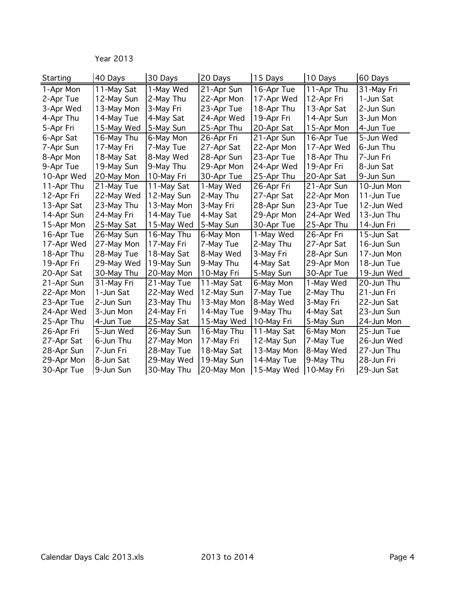Year 2013

| <b>Starting</b> | 40 Days    | 30 Days    | 20 Days    | 15 Days    | 10 Days    | 60 Days    |
|-----------------|------------|------------|------------|------------|------------|------------|
| 1-Apr Mon       | 11-May Sat | 1-May Wed  | 21-Apr Sun | 16-Apr Tue | 11-Apr Thu | 31-May Fri |
| 2-Apr Tue       | 12-May Sun | 2-May Thu  | 22-Apr Mon | 17-Apr Wed | 12-Apr Fri | 1-Jun Sat  |
| 3-Apr Wed       | 13-May Mon | 3-May Fri  | 23-Apr Tue | 18-Apr Thu | 13-Apr Sat | 2-Jun Sun  |
| 4-Apr Thu       | 14-May Tue | 4-May Sat  | 24-Apr Wed | 19-Apr Fri | 14-Apr Sun | 3-Jun Mon  |
| 5-Apr Fri       | 15-May Wed | 5-May Sun  | 25-Apr Thu | 20-Apr Sat | 15-Apr Mon | 4-Jun Tue  |
| 6-Apr Sat       | 16-May Thu | 6-May Mon  | 26-Apr Fri | 21-Apr Sun | 16-Apr Tue | 5-Jun Wed  |
| 7-Apr Sun       | 17-May Fri | 7-May Tue  | 27-Apr Sat | 22-Apr Mon | 17-Apr Wed | 6-Jun Thu  |
| 8-Apr Mon       | 18-May Sat | 8-May Wed  | 28-Apr Sun | 23-Apr Tue | 18-Apr Thu | 7-Jun Fri  |
| 9-Apr Tue       | 19-May Sun | 9-May Thu  | 29-Apr Mon | 24-Apr Wed | 19-Apr Fri | 8-Jun Sat  |
| 10-Apr Wed      | 20-May Mon | 10-May Fri | 30-Apr Tue | 25-Apr Thu | 20-Apr Sat | 9-Jun Sun  |
| 11-Apr Thu      | 21-May Tue | 11-May Sat | 1-May Wed  | 26-Apr Fri | 21-Apr Sun | 10-Jun Mon |
| 12-Apr Fri      | 22-May Wed | 12-May Sun | 2-May Thu  | 27-Apr Sat | 22-Apr Mon | 11-Jun Tue |
| 13-Apr Sat      | 23-May Thu | 13-May Mon | 3-May Fri  | 28-Apr Sun | 23-Apr Tue | 12-Jun Wed |
| 14-Apr Sun      | 24-May Fri | 14-May Tue | 4-May Sat  | 29-Apr Mon | 24-Apr Wed | 13-Jun Thu |
| 15-Apr Mon      | 25-May Sat | 15-May Wed | 5-May Sun  | 30-Apr Tue | 25-Apr Thu | 14-Jun Fri |
| 16-Apr Tue      | 26-May Sun | 16-May Thu | 6-May Mon  | 1-May Wed  | 26-Apr Fri | 15-Jun Sat |
| 17-Apr Wed      | 27-May Mon | 17-May Fri | 7-May Tue  | 2-May Thu  | 27-Apr Sat | 16-Jun Sun |
| 18-Apr Thu      | 28-May Tue | 18-May Sat | 8-May Wed  | 3-May Fri  | 28-Apr Sun | 17-Jun Mon |
| 19-Apr Fri      | 29-May Wed | 19-May Sun | 9-May Thu  | 4-May Sat  | 29-Apr Mon | 18-Jun Tue |
| 20-Apr Sat      | 30-May Thu | 20-May Mon | 10-May Fri | 5-May Sun  | 30-Apr Tue | 19-Jun Wed |
| 21-Apr Sun      | 31-May Fri | 21-May Tue | 11-May Sat | 6-May Mon  | 1-May Wed  | 20-Jun Thu |
| 22-Apr Mon      | 1-Jun Sat  | 22-May Wed | 12-May Sun | 7-May Tue  | 2-May Thu  | 21-Jun Fri |
| 23-Apr Tue      | 2-Jun Sun  | 23-May Thu | 13-May Mon | 8-May Wed  | 3-May Fri  | 22-Jun Sat |
| 24-Apr Wed      | 3-Jun Mon  | 24-May Fri | 14-May Tue | 9-May Thu  | 4-May Sat  | 23-Jun Sun |
| 25-Apr Thu      | 4-Jun Tue  | 25-May Sat | 15-May Wed | 10-May Fri | 5-May Sun  | 24-Jun Mon |
| 26-Apr Fri      | 5-Jun Wed  | 26-May Sun | 16-May Thu | 11-May Sat | 6-May Mon  | 25-Jun Tue |
| 27-Apr Sat      | 6-Jun Thu  | 27-May Mon | 17-May Fri | 12-May Sun | 7-May Tue  | 26-Jun Wed |
| 28-Apr Sun      | 7-Jun Fri  | 28-May Tue | 18-May Sat | 13-May Mon | 8-May Wed  | 27-Jun Thu |
| 29-Apr Mon      | 8-Jun Sat  | 29-May Wed | 19-May Sun | 14-May Tue | 9-May Thu  | 28-Jun Fri |
| 30-Apr Tue      | 9-Jun Sun  | 30-May Thu | 20-May Mon | 15-May Wed | 10-May Fri | 29-Jun Sat |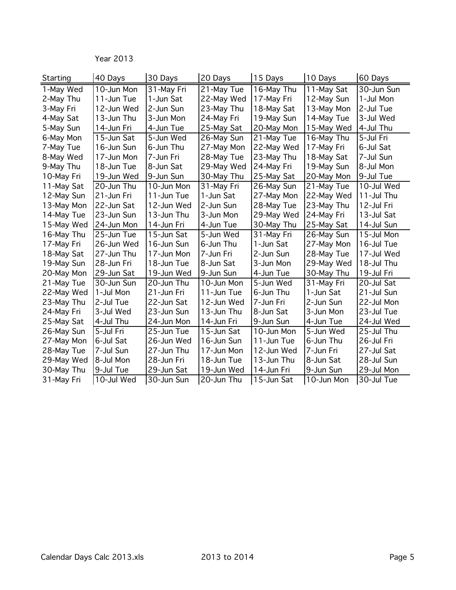| <b>Starting</b> | 40 Days    | 30 Days    | 20 Days    | 15 Days    | 10 Days    | 60 Days    |
|-----------------|------------|------------|------------|------------|------------|------------|
| 1-May Wed       | 10-Jun Mon | 31-May Fri | 21-May Tue | 16-May Thu | 11-May Sat | 30-Jun Sun |
| 2-May Thu       | 11-Jun Tue | 1-Jun Sat  | 22-May Wed | 17-May Fri | 12-May Sun | 1-Jul Mon  |
| 3-May Fri       | 12-Jun Wed | 2-Jun Sun  | 23-May Thu | 18-May Sat | 13-May Mon | 2-Jul Tue  |
| 4-May Sat       | 13-Jun Thu | 3-Jun Mon  | 24-May Fri | 19-May Sun | 14-May Tue | 3-Jul Wed  |
| 5-May Sun       | 14-Jun Fri | 4-Jun Tue  | 25-May Sat | 20-May Mon | 15-May Wed | 4-Jul Thu  |
| 6-May Mon       | 15-Jun Sat | 5-Jun Wed  | 26-May Sun | 21-May Tue | 16-May Thu | 5-Jul Fri  |
| 7-May Tue       | 16-Jun Sun | 6-Jun Thu  | 27-May Mon | 22-May Wed | 17-May Fri | 6-Jul Sat  |
| 8-May Wed       | 17-Jun Mon | 7-Jun Fri  | 28-May Tue | 23-May Thu | 18-May Sat | 7-Jul Sun  |
| 9-May Thu       | 18-Jun Tue | 8-Jun Sat  | 29-May Wed | 24-May Fri | 19-May Sun | 8-Jul Mon  |
| 10-May Fri      | 19-Jun Wed | 9-Jun Sun  | 30-May Thu | 25-May Sat | 20-May Mon | 9-Jul Tue  |
| 11-May Sat      | 20-Jun Thu | 10-Jun Mon | 31-May Fri | 26-May Sun | 21-May Tue | 10-Jul Wed |
| 12-May Sun      | 21-Jun Fri | 11-Jun Tue | 1-Jun Sat  | 27-May Mon | 22-May Wed | 11-Jul Thu |
| 13-May Mon      | 22-Jun Sat | 12-Jun Wed | 2-Jun Sun  | 28-May Tue | 23-May Thu | 12-Jul Fri |
| 14-May Tue      | 23-Jun Sun | 13-Jun Thu | 3-Jun Mon  | 29-May Wed | 24-May Fri | 13-Jul Sat |
| 15-May Wed      | 24-Jun Mon | 14-Jun Fri | 4-Jun Tue  | 30-May Thu | 25-May Sat | 14-Jul Sun |
| 16-May Thu      | 25-Jun Tue | 15-Jun Sat | 5-Jun Wed  | 31-May Fri | 26-May Sun | 15-Jul Mon |
| 17-May Fri      | 26-Jun Wed | 16-Jun Sun | 6-Jun Thu  | 1-Jun Sat  | 27-May Mon | 16-Jul Tue |
| 18-May Sat      | 27-Jun Thu | 17-Jun Mon | 7-Jun Fri  | 2-Jun Sun  | 28-May Tue | 17-Jul Wed |
| 19-May Sun      | 28-Jun Fri | 18-Jun Tue | 8-Jun Sat  | 3-Jun Mon  | 29-May Wed | 18-Jul Thu |
| 20-May Mon      | 29-Jun Sat | 19-Jun Wed | 9-Jun Sun  | 4-Jun Tue  | 30-May Thu | 19-Jul Fri |
| 21-May Tue      | 30-Jun Sun | 20-Jun Thu | 10-Jun Mon | 5-Jun Wed  | 31-May Fri | 20-Jul Sat |
| 22-May Wed      | 1-Jul Mon  | 21-Jun Fri | 11-Jun Tue | 6-Jun Thu  | 1-Jun Sat  | 21-Jul Sun |
| 23-May Thu      | 2-Jul Tue  | 22-Jun Sat | 12-Jun Wed | 7-Jun Fri  | 2-Jun Sun  | 22-Jul Mon |
| 24-May Fri      | 3-Jul Wed  | 23-Jun Sun | 13-Jun Thu | 8-Jun Sat  | 3-Jun Mon  | 23-Jul Tue |
| 25-May Sat      | 4-Jul Thu  | 24-Jun Mon | 14-Jun Fri | 9-Jun Sun  | 4-Jun Tue  | 24-Jul Wed |
| 26-May Sun      | 5-Jul Fri  | 25-Jun Tue | 15-Jun Sat | 10-Jun Mon | 5-Jun Wed  | 25-Jul Thu |
| 27-May Mon      | 6-Jul Sat  | 26-Jun Wed | 16-Jun Sun | 11-Jun Tue | 6-Jun Thu  | 26-Jul Fri |
| 28-May Tue      | 7-Jul Sun  | 27-Jun Thu | 17-Jun Mon | 12-Jun Wed | 7-Jun Fri  | 27-Jul Sat |
| 29-May Wed      | 8-Jul Mon  | 28-Jun Fri | 18-Jun Tue | 13-Jun Thu | 8-Jun Sat  | 28-Jul Sun |
| 30-May Thu      | 9-Jul Tue  | 29-Jun Sat | 19-Jun Wed | 14-Jun Fri | 9-Jun Sun  | 29-Jul Mon |
| 31-May Fri      | 10-Jul Wed | 30-Jun Sun | 20-Jun Thu | 15-Jun Sat | 10-Jun Mon | 30-Jul Tue |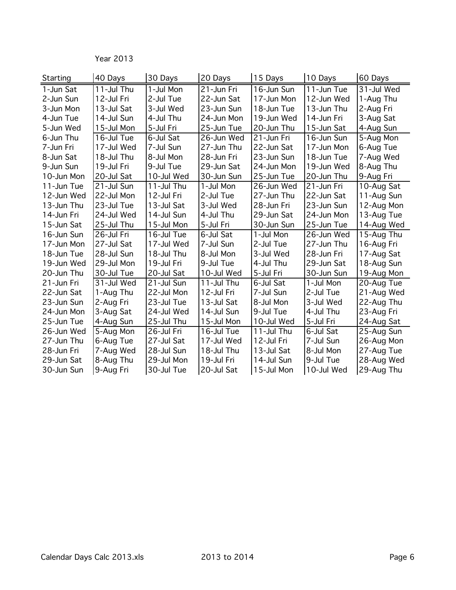| <b>Starting</b> | 40 Days    | 30 Days    | 20 Days    | 15 Days    | 10 Days    | 60 Days    |
|-----------------|------------|------------|------------|------------|------------|------------|
| 1-Jun Sat       | 11-Jul Thu | 1-Jul Mon  | 21-Jun Fri | 16-Jun Sun | 11-Jun Tue | 31-Jul Wed |
| 2-Jun Sun       | 12-Jul Fri | 2-Jul Tue  | 22-Jun Sat | 17-Jun Mon | 12-Jun Wed | 1-Aug Thu  |
| 3-Jun Mon       | 13-Jul Sat | 3-Jul Wed  | 23-Jun Sun | 18-Jun Tue | 13-Jun Thu | 2-Aug Fri  |
| 4-Jun Tue       | 14-Jul Sun | 4-Jul Thu  | 24-Jun Mon | 19-Jun Wed | 14-Jun Fri | 3-Aug Sat  |
| 5-Jun Wed       | 15-Jul Mon | 5-Jul Fri  | 25-Jun Tue | 20-Jun Thu | 15-Jun Sat | 4-Aug Sun  |
| 6-Jun Thu       | 16-Jul Tue | 6-Jul Sat  | 26-Jun Wed | 21-Jun Fri | 16-Jun Sun | 5-Aug Mon  |
| 7-Jun Fri       | 17-Jul Wed | 7-Jul Sun  | 27-Jun Thu | 22-Jun Sat | 17-Jun Mon | 6-Aug Tue  |
| 8-Jun Sat       | 18-Jul Thu | 8-Jul Mon  | 28-Jun Fri | 23-Jun Sun | 18-Jun Tue | 7-Aug Wed  |
| 9-Jun Sun       | 19-Jul Fri | 9-Jul Tue  | 29-Jun Sat | 24-Jun Mon | 19-Jun Wed | 8-Aug Thu  |
| 10-Jun Mon      | 20-Jul Sat | 10-Jul Wed | 30-Jun Sun | 25-Jun Tue | 20-Jun Thu | 9-Aug Fri  |
| 11-Jun Tue      | 21-Jul Sun | 11-Jul Thu | 1-Jul Mon  | 26-Jun Wed | 21-Jun Fri | 10-Aug Sat |
| 12-Jun Wed      | 22-Jul Mon | 12-Jul Fri | 2-Jul Tue  | 27-Jun Thu | 22-Jun Sat | 11-Aug Sun |
| 13-Jun Thu      | 23-Jul Tue | 13-Jul Sat | 3-Jul Wed  | 28-Jun Fri | 23-Jun Sun | 12-Aug Mon |
| 14-Jun Fri      | 24-Jul Wed | 14-Jul Sun | 4-Jul Thu  | 29-Jun Sat | 24-Jun Mon | 13-Aug Tue |
| 15-Jun Sat      | 25-Jul Thu | 15-Jul Mon | 5-Jul Fri  | 30-Jun Sun | 25-Jun Tue | 14-Aug Wed |
| 16-Jun Sun      | 26-Jul Fri | 16-Jul Tue | 6-Jul Sat  | 1-Jul Mon  | 26-Jun Wed | 15-Aug Thu |
| 17-Jun Mon      | 27-Jul Sat | 17-Jul Wed | 7-Jul Sun  | 2-Jul Tue  | 27-Jun Thu | 16-Aug Fri |
| 18-Jun Tue      | 28-Jul Sun | 18-Jul Thu | 8-Jul Mon  | 3-Jul Wed  | 28-Jun Fri | 17-Aug Sat |
| 19-Jun Wed      | 29-Jul Mon | 19-Jul Fri | 9-Jul Tue  | 4-Jul Thu  | 29-Jun Sat | 18-Aug Sun |
| 20-Jun Thu      | 30-Jul Tue | 20-Jul Sat | 10-Jul Wed | 5-Jul Fri  | 30-Jun Sun | 19-Aug Mon |
| 21-Jun Fri      | 31-Jul Wed | 21-Jul Sun | 11-Jul Thu | 6-Jul Sat  | 1-Jul Mon  | 20-Aug Tue |
| 22-Jun Sat      | 1-Aug Thu  | 22-Jul Mon | 12-Jul Fri | 7-Jul Sun  | 2-Jul Tue  | 21-Aug Wed |
| 23-Jun Sun      | 2-Aug Fri  | 23-Jul Tue | 13-Jul Sat | 8-Jul Mon  | 3-Jul Wed  | 22-Aug Thu |
| 24-Jun Mon      | 3-Aug Sat  | 24-Jul Wed | 14-Jul Sun | 9-Jul Tue  | 4-Jul Thu  | 23-Aug Fri |
| 25-Jun Tue      | 4-Aug Sun  | 25-Jul Thu | 15-Jul Mon | 10-Jul Wed | 5-Jul Fri  | 24-Aug Sat |
| 26-Jun Wed      | 5-Aug Mon  | 26-Jul Fri | 16-Jul Tue | 11-Jul Thu | 6-Jul Sat  | 25-Aug Sun |
| 27-Jun Thu      | 6-Aug Tue  | 27-Jul Sat | 17-Jul Wed | 12-Jul Fri | 7-Jul Sun  | 26-Aug Mon |
| 28-Jun Fri      | 7-Aug Wed  | 28-Jul Sun | 18-Jul Thu | 13-Jul Sat | 8-Jul Mon  | 27-Aug Tue |
| 29-Jun Sat      | 8-Aug Thu  | 29-Jul Mon | 19-Jul Fri | 14-Jul Sun | 9-Jul Tue  | 28-Aug Wed |
| 30-Jun Sun      | 9-Aug Fri  | 30-Jul Tue | 20-Jul Sat | 15-Jul Mon | 10-Jul Wed | 29-Aug Thu |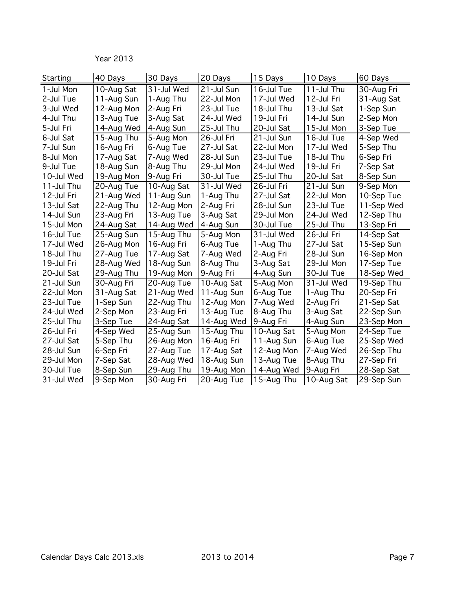Year 2013

| Starting   | 40 Days    | 30 Days    | 20 Days    | 15 Days    | 10 Days    | 60 Days    |
|------------|------------|------------|------------|------------|------------|------------|
| 1-Jul Mon  | 10-Aug Sat | 31-Jul Wed | 21-Jul Sun | 16-Jul Tue | 11-Jul Thu | 30-Aug Fri |
| 2-Jul Tue  | 11-Aug Sun | 1-Aug Thu  | 22-Jul Mon | 17-Jul Wed | 12-Jul Fri | 31-Aug Sat |
| 3-Jul Wed  | 12-Aug Mon | 2-Aug Fri  | 23-Jul Tue | 18-Jul Thu | 13-Jul Sat | 1-Sep Sun  |
| 4-Jul Thu  | 13-Aug Tue | 3-Aug Sat  | 24-Jul Wed | 19-Jul Fri | 14-Jul Sun | 2-Sep Mon  |
| 5-Jul Fri  | 14-Aug Wed | 4-Aug Sun  | 25-Jul Thu | 20-Jul Sat | 15-Jul Mon | 3-Sep Tue  |
| 6-Jul Sat  | 15-Aug Thu | 5-Aug Mon  | 26-Jul Fri | 21-Jul Sun | 16-Jul Tue | 4-Sep Wed  |
| 7-Jul Sun  | 16-Aug Fri | 6-Aug Tue  | 27-Jul Sat | 22-Jul Mon | 17-Jul Wed | 5-Sep Thu  |
| 8-Jul Mon  | 17-Aug Sat | 7-Aug Wed  | 28-Jul Sun | 23-Jul Tue | 18-Jul Thu | 6-Sep Fri  |
| 9-Jul Tue  | 18-Aug Sun | 8-Aug Thu  | 29-Jul Mon | 24-Jul Wed | 19-Jul Fri | 7-Sep Sat  |
| 10-Jul Wed | 19-Aug Mon | 9-Aug Fri  | 30-Jul Tue | 25-Jul Thu | 20-Jul Sat | 8-Sep Sun  |
| 11-Jul Thu | 20-Aug Tue | 10-Aug Sat | 31-Jul Wed | 26-Jul Fri | 21-Jul Sun | 9-Sep Mon  |
| 12-Jul Fri | 21-Aug Wed | 11-Aug Sun | 1-Aug Thu  | 27-Jul Sat | 22-Jul Mon | 10-Sep Tue |
| 13-Jul Sat | 22-Aug Thu | 12-Aug Mon | 2-Aug Fri  | 28-Jul Sun | 23-Jul Tue | 11-Sep Wed |
| 14-Jul Sun | 23-Aug Fri | 13-Aug Tue | 3-Aug Sat  | 29-Jul Mon | 24-Jul Wed | 12-Sep Thu |
| 15-Jul Mon | 24-Aug Sat | 14-Aug Wed | 4-Aug Sun  | 30-Jul Tue | 25-Jul Thu | 13-Sep Fri |
| 16-Jul Tue | 25-Aug Sun | 15-Aug Thu | 5-Aug Mon  | 31-Jul Wed | 26-Jul Fri | 14-Sep Sat |
| 17-Jul Wed | 26-Aug Mon | 16-Aug Fri | 6-Aug Tue  | 1-Aug Thu  | 27-Jul Sat | 15-Sep Sun |
| 18-Jul Thu | 27-Aug Tue | 17-Aug Sat | 7-Aug Wed  | 2-Aug Fri  | 28-Jul Sun | 16-Sep Mon |
| 19-Jul Fri | 28-Aug Wed | 18-Aug Sun | 8-Aug Thu  | 3-Aug Sat  | 29-Jul Mon | 17-Sep Tue |
| 20-Jul Sat | 29-Aug Thu | 19-Aug Mon | 9-Aug Fri  | 4-Aug Sun  | 30-Jul Tue | 18-Sep Wed |
| 21-Jul Sun | 30-Aug Fri | 20-Aug Tue | 10-Aug Sat | 5-Aug Mon  | 31-Jul Wed | 19-Sep Thu |
| 22-Jul Mon | 31-Aug Sat | 21-Aug Wed | 11-Aug Sun | 6-Aug Tue  | 1-Aug Thu  | 20-Sep Fri |
| 23-Jul Tue | 1-Sep Sun  | 22-Aug Thu | 12-Aug Mon | 7-Aug Wed  | 2-Aug Fri  | 21-Sep Sat |
| 24-Jul Wed | 2-Sep Mon  | 23-Aug Fri | 13-Aug Tue | 8-Aug Thu  | 3-Aug Sat  | 22-Sep Sun |
| 25-Jul Thu | 3-Sep Tue  | 24-Aug Sat | 14-Aug Wed | 9-Aug Fri  | 4-Aug Sun  | 23-Sep Mon |
| 26-Jul Fri | 4-Sep Wed  | 25-Aug Sun | 15-Aug Thu | 10-Aug Sat | 5-Aug Mon  | 24-Sep Tue |
| 27-Jul Sat | 5-Sep Thu  | 26-Aug Mon | 16-Aug Fri | 11-Aug Sun | 6-Aug Tue  | 25-Sep Wed |
| 28-Jul Sun | 6-Sep Fri  | 27-Aug Tue | 17-Aug Sat | 12-Aug Mon | 7-Aug Wed  | 26-Sep Thu |
| 29-Jul Mon | 7-Sep Sat  | 28-Aug Wed | 18-Aug Sun | 13-Aug Tue | 8-Aug Thu  | 27-Sep Fri |
| 30-Jul Tue | 8-Sep Sun  | 29-Aug Thu | 19-Aug Mon | 14-Aug Wed | 9-Aug Fri  | 28-Sep Sat |
| 31-Jul Wed | 9-Sep Mon  | 30-Aug Fri | 20-Aug Tue | 15-Aug Thu | 10-Aug Sat | 29-Sep Sun |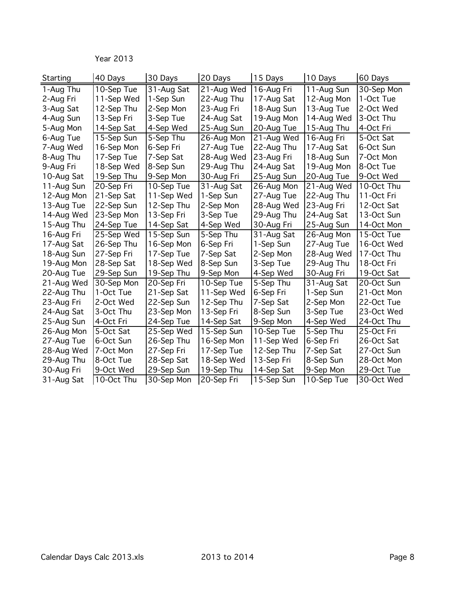| Starting   | 40 Days    | 30 Days    | 20 Days    | 15 Days    | 10 Days    | 60 Days    |
|------------|------------|------------|------------|------------|------------|------------|
| 1-Aug Thu  | 10-Sep Tue | 31-Aug Sat | 21-Aug Wed | 16-Aug Fri | 11-Aug Sun | 30-Sep Mon |
| 2-Aug Fri  | 11-Sep Wed | 1-Sep Sun  | 22-Aug Thu | 17-Aug Sat | 12-Aug Mon | 1-Oct Tue  |
| 3-Aug Sat  | 12-Sep Thu | 2-Sep Mon  | 23-Aug Fri | 18-Aug Sun | 13-Aug Tue | 2-Oct Wed  |
| 4-Aug Sun  | 13-Sep Fri | 3-Sep Tue  | 24-Aug Sat | 19-Aug Mon | 14-Aug Wed | 3-Oct Thu  |
| 5-Aug Mon  | 14-Sep Sat | 4-Sep Wed  | 25-Aug Sun | 20-Aug Tue | 15-Aug Thu | 4-Oct Fri  |
| 6-Aug Tue  | 15-Sep Sun | 5-Sep Thu  | 26-Aug Mon | 21-Aug Wed | 16-Aug Fri | 5-Oct Sat  |
| 7-Aug Wed  | 16-Sep Mon | 6-Sep Fri  | 27-Aug Tue | 22-Aug Thu | 17-Aug Sat | 6-Oct Sun  |
| 8-Aug Thu  | 17-Sep Tue | 7-Sep Sat  | 28-Aug Wed | 23-Aug Fri | 18-Aug Sun | 7-Oct Mon  |
| 9-Aug Fri  | 18-Sep Wed | 8-Sep Sun  | 29-Aug Thu | 24-Aug Sat | 19-Aug Mon | 8-Oct Tue  |
| 10-Aug Sat | 19-Sep Thu | 9-Sep Mon  | 30-Aug Fri | 25-Aug Sun | 20-Aug Tue | 9-Oct Wed  |
| 11-Aug Sun | 20-Sep Fri | 10-Sep Tue | 31-Aug Sat | 26-Aug Mon | 21-Aug Wed | 10-Oct Thu |
| 12-Aug Mon | 21-Sep Sat | 11-Sep Wed | 1-Sep Sun  | 27-Aug Tue | 22-Aug Thu | 11-Oct Fri |
| 13-Aug Tue | 22-Sep Sun | 12-Sep Thu | 2-Sep Mon  | 28-Aug Wed | 23-Aug Fri | 12-Oct Sat |
| 14-Aug Wed | 23-Sep Mon | 13-Sep Fri | 3-Sep Tue  | 29-Aug Thu | 24-Aug Sat | 13-Oct Sun |
| 15-Aug Thu | 24-Sep Tue | 14-Sep Sat | 4-Sep Wed  | 30-Aug Fri | 25-Aug Sun | 14-Oct Mon |
| 16-Aug Fri | 25-Sep Wed | 15-Sep Sun | 5-Sep Thu  | 31-Aug Sat | 26-Aug Mon | 15-Oct Tue |
| 17-Aug Sat | 26-Sep Thu | 16-Sep Mon | 6-Sep Fri  | 1-Sep Sun  | 27-Aug Tue | 16-Oct Wed |
| 18-Aug Sun | 27-Sep Fri | 17-Sep Tue | 7-Sep Sat  | 2-Sep Mon  | 28-Aug Wed | 17-Oct Thu |
| 19-Aug Mon | 28-Sep Sat | 18-Sep Wed | 8-Sep Sun  | 3-Sep Tue  | 29-Aug Thu | 18-Oct Fri |
| 20-Aug Tue | 29-Sep Sun | 19-Sep Thu | 9-Sep Mon  | 4-Sep Wed  | 30-Aug Fri | 19-Oct Sat |
| 21-Aug Wed | 30-Sep Mon | 20-Sep Fri | 10-Sep Tue | 5-Sep Thu  | 31-Aug Sat | 20-Oct Sun |
| 22-Aug Thu | 1-Oct Tue  | 21-Sep Sat | 11-Sep Wed | 6-Sep Fri  | 1-Sep Sun  | 21-Oct Mon |
| 23-Aug Fri | 2-Oct Wed  | 22-Sep Sun | 12-Sep Thu | 7-Sep Sat  | 2-Sep Mon  | 22-Oct Tue |
| 24-Aug Sat | 3-Oct Thu  | 23-Sep Mon | 13-Sep Fri | 8-Sep Sun  | 3-Sep Tue  | 23-Oct Wed |
| 25-Aug Sun | 4-Oct Fri  | 24-Sep Tue | 14-Sep Sat | 9-Sep Mon  | 4-Sep Wed  | 24-Oct Thu |
| 26-Aug Mon | 5-Oct Sat  | 25-Sep Wed | 15-Sep Sun | 10-Sep Tue | 5-Sep Thu  | 25-Oct Fri |
| 27-Aug Tue | 6-Oct Sun  | 26-Sep Thu | 16-Sep Mon | 11-Sep Wed | 6-Sep Fri  | 26-Oct Sat |
| 28-Aug Wed | 7-Oct Mon  | 27-Sep Fri | 17-Sep Tue | 12-Sep Thu | 7-Sep Sat  | 27-Oct Sun |
| 29-Aug Thu | 8-Oct Tue  | 28-Sep Sat | 18-Sep Wed | 13-Sep Fri | 8-Sep Sun  | 28-Oct Mon |
| 30-Aug Fri | 9-Oct Wed  | 29-Sep Sun | 19-Sep Thu | 14-Sep Sat | 9-Sep Mon  | 29-Oct Tue |
| 31-Aug Sat | 10-Oct Thu | 30-Sep Mon | 20-Sep Fri | 15-Sep Sun | 10-Sep Tue | 30-Oct Wed |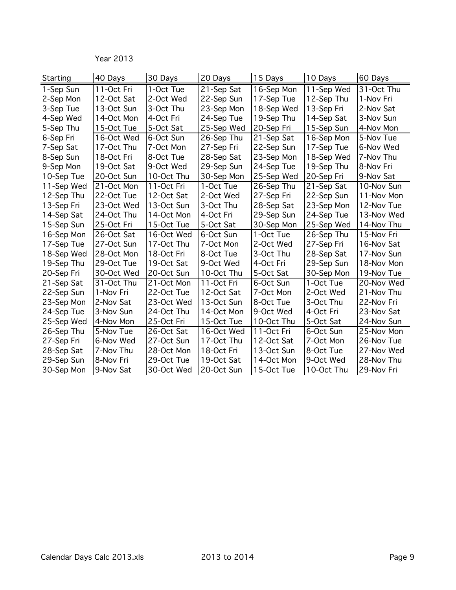| <b>Starting</b> | 40 Days    | 30 Days    | 20 Days    | 15 Days    | 10 Days    | 60 Days    |
|-----------------|------------|------------|------------|------------|------------|------------|
| 1-Sep Sun       | 11-Oct Fri | 1-Oct Tue  | 21-Sep Sat | 16-Sep Mon | 11-Sep Wed | 31-Oct Thu |
| 2-Sep Mon       | 12-Oct Sat | 2-Oct Wed  | 22-Sep Sun | 17-Sep Tue | 12-Sep Thu | 1-Nov Fri  |
| 3-Sep Tue       | 13-Oct Sun | 3-Oct Thu  | 23-Sep Mon | 18-Sep Wed | 13-Sep Fri | 2-Nov Sat  |
| 4-Sep Wed       | 14-Oct Mon | 4-Oct Fri  | 24-Sep Tue | 19-Sep Thu | 14-Sep Sat | 3-Nov Sun  |
| 5-Sep Thu       | 15-Oct Tue | 5-Oct Sat  | 25-Sep Wed | 20-Sep Fri | 15-Sep Sun | 4-Nov Mon  |
| 6-Sep Fri       | 16-Oct Wed | 6-Oct Sun  | 26-Sep Thu | 21-Sep Sat | 16-Sep Mon | 5-Nov Tue  |
| 7-Sep Sat       | 17-Oct Thu | 7-Oct Mon  | 27-Sep Fri | 22-Sep Sun | 17-Sep Tue | 6-Nov Wed  |
| 8-Sep Sun       | 18-Oct Fri | 8-Oct Tue  | 28-Sep Sat | 23-Sep Mon | 18-Sep Wed | 7-Nov Thu  |
| 9-Sep Mon       | 19-Oct Sat | 9-Oct Wed  | 29-Sep Sun | 24-Sep Tue | 19-Sep Thu | 8-Nov Fri  |
| 10-Sep Tue      | 20-Oct Sun | 10-Oct Thu | 30-Sep Mon | 25-Sep Wed | 20-Sep Fri | 9-Nov Sat  |
| 11-Sep Wed      | 21-Oct Mon | 11-Oct Fri | 1-Oct Tue  | 26-Sep Thu | 21-Sep Sat | 10-Nov Sun |
| 12-Sep Thu      | 22-Oct Tue | 12-Oct Sat | 2-Oct Wed  | 27-Sep Fri | 22-Sep Sun | 11-Nov Mon |
| 13-Sep Fri      | 23-Oct Wed | 13-Oct Sun | 3-Oct Thu  | 28-Sep Sat | 23-Sep Mon | 12-Nov Tue |
| 14-Sep Sat      | 24-Oct Thu | 14-Oct Mon | 4-Oct Fri  | 29-Sep Sun | 24-Sep Tue | 13-Nov Wed |
| 15-Sep Sun      | 25-Oct Fri | 15-Oct Tue | 5-Oct Sat  | 30-Sep Mon | 25-Sep Wed | 14-Nov Thu |
| 16-Sep Mon      | 26-Oct Sat | 16-Oct Wed | 6-Oct Sun  | 1-Oct Tue  | 26-Sep Thu | 15-Nov Fri |
| 17-Sep Tue      | 27-Oct Sun | 17-Oct Thu | 7-Oct Mon  | 2-Oct Wed  | 27-Sep Fri | 16-Nov Sat |
| 18-Sep Wed      | 28-Oct Mon | 18-Oct Fri | 8-Oct Tue  | 3-Oct Thu  | 28-Sep Sat | 17-Nov Sun |
| 19-Sep Thu      | 29-Oct Tue | 19-Oct Sat | 9-Oct Wed  | 4-Oct Fri  | 29-Sep Sun | 18-Nov Mon |
| 20-Sep Fri      | 30-Oct Wed | 20-Oct Sun | 10-Oct Thu | 5-Oct Sat  | 30-Sep Mon | 19-Nov Tue |
| 21-Sep Sat      | 31-Oct Thu | 21-Oct Mon | 11-Oct Fri | 6-Oct Sun  | 1-Oct Tue  | 20-Nov Wed |
| 22-Sep Sun      | 1-Nov Fri  | 22-Oct Tue | 12-Oct Sat | 7-Oct Mon  | 2-Oct Wed  | 21-Nov Thu |
| 23-Sep Mon      | 2-Nov Sat  | 23-Oct Wed | 13-Oct Sun | 8-Oct Tue  | 3-Oct Thu  | 22-Nov Fri |
| 24-Sep Tue      | 3-Nov Sun  | 24-Oct Thu | 14-Oct Mon | 9-Oct Wed  | 4-Oct Fri  | 23-Nov Sat |
| 25-Sep Wed      | 4-Nov Mon  | 25-Oct Fri | 15-Oct Tue | 10-Oct Thu | 5-Oct Sat  | 24-Nov Sun |
| 26-Sep Thu      | 5-Nov Tue  | 26-Oct Sat | 16-Oct Wed | 11-Oct Fri | 6-Oct Sun  | 25-Nov Mon |
| 27-Sep Fri      | 6-Nov Wed  | 27-Oct Sun | 17-Oct Thu | 12-Oct Sat | 7-Oct Mon  | 26-Nov Tue |
| 28-Sep Sat      | 7-Nov Thu  | 28-Oct Mon | 18-Oct Fri | 13-Oct Sun | 8-Oct Tue  | 27-Nov Wed |
| 29-Sep Sun      | 8-Nov Fri  | 29-Oct Tue | 19-Oct Sat | 14-Oct Mon | 9-Oct Wed  | 28-Nov Thu |
| 30-Sep Mon      | 9-Nov Sat  | 30-Oct Wed | 20-Oct Sun | 15-Oct Tue | 10-Oct Thu | 29-Nov Fri |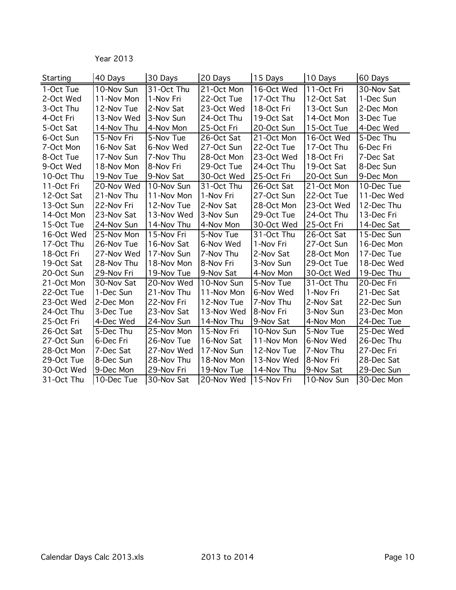| Year 2013 |  |
|-----------|--|
|           |  |

| Starting   | 40 Days    | 30 Days    | 20 Days    | 15 Days    | 10 Days    | 60 Days    |
|------------|------------|------------|------------|------------|------------|------------|
| 1-Oct Tue  | 10-Nov Sun | 31-Oct Thu | 21-Oct Mon | 16-Oct Wed | 11-Oct Fri | 30-Nov Sat |
| 2-Oct Wed  | 11-Nov Mon | 1-Nov Fri  | 22-Oct Tue | 17-Oct Thu | 12-Oct Sat | 1-Dec Sun  |
| 3-Oct Thu  | 12-Nov Tue | 2-Nov Sat  | 23-Oct Wed | 18-Oct Fri | 13-Oct Sun | 2-Dec Mon  |
| 4-Oct Fri  | 13-Nov Wed | 3-Nov Sun  | 24-Oct Thu | 19-Oct Sat | 14-Oct Mon | 3-Dec Tue  |
| 5-Oct Sat  | 14-Nov Thu | 4-Nov Mon  | 25-Oct Fri | 20-Oct Sun | 15-Oct Tue | 4-Dec Wed  |
| 6-Oct Sun  | 15-Nov Fri | 5-Nov Tue  | 26-Oct Sat | 21-Oct Mon | 16-Oct Wed | 5-Dec Thu  |
| 7-Oct Mon  | 16-Nov Sat | 6-Nov Wed  | 27-Oct Sun | 22-Oct Tue | 17-Oct Thu | 6-Dec Fri  |
| 8-Oct Tue  | 17-Nov Sun | 7-Nov Thu  | 28-Oct Mon | 23-Oct Wed | 18-Oct Fri | 7-Dec Sat  |
| 9-Oct Wed  | 18-Nov Mon | 8-Nov Fri  | 29-Oct Tue | 24-Oct Thu | 19-Oct Sat | 8-Dec Sun  |
| 10-Oct Thu | 19-Nov Tue | 9-Nov Sat  | 30-Oct Wed | 25-Oct Fri | 20-Oct Sun | 9-Dec Mon  |
| 11-Oct Fri | 20-Nov Wed | 10-Nov Sun | 31-Oct Thu | 26-Oct Sat | 21-Oct Mon | 10-Dec Tue |
| 12-Oct Sat | 21-Nov Thu | 11-Nov Mon | 1-Nov Fri  | 27-Oct Sun | 22-Oct Tue | 11-Dec Wed |
| 13-Oct Sun | 22-Nov Fri | 12-Nov Tue | 2-Nov Sat  | 28-Oct Mon | 23-Oct Wed | 12-Dec Thu |
| 14-Oct Mon | 23-Nov Sat | 13-Nov Wed | 3-Nov Sun  | 29-Oct Tue | 24-Oct Thu | 13-Dec Fri |
| 15-Oct Tue | 24-Nov Sun | 14-Nov Thu | 4-Nov Mon  | 30-Oct Wed | 25-Oct Fri | 14-Dec Sat |
| 16-Oct Wed | 25-Nov Mon | 15-Nov Fri | 5-Nov Tue  | 31-Oct Thu | 26-Oct Sat | 15-Dec Sun |
| 17-Oct Thu | 26-Nov Tue | 16-Nov Sat | 6-Nov Wed  | 1-Nov Fri  | 27-Oct Sun | 16-Dec Mon |
| 18-Oct Fri | 27-Nov Wed | 17-Nov Sun | 7-Nov Thu  | 2-Nov Sat  | 28-Oct Mon | 17-Dec Tue |
| 19-Oct Sat | 28-Nov Thu | 18-Nov Mon | 8-Nov Fri  | 3-Nov Sun  | 29-Oct Tue | 18-Dec Wed |
| 20-Oct Sun | 29-Nov Fri | 19-Nov Tue | 9-Nov Sat  | 4-Nov Mon  | 30-Oct Wed | 19-Dec Thu |
| 21-Oct Mon | 30-Nov Sat | 20-Nov Wed | 10-Nov Sun | 5-Nov Tue  | 31-Oct Thu | 20-Dec Fri |
| 22-Oct Tue | 1-Dec Sun  | 21-Nov Thu | 11-Nov Mon | 6-Nov Wed  | 1-Nov Fri  | 21-Dec Sat |
| 23-Oct Wed | 2-Dec Mon  | 22-Nov Fri | 12-Nov Tue | 7-Nov Thu  | 2-Nov Sat  | 22-Dec Sun |
| 24-Oct Thu | 3-Dec Tue  | 23-Nov Sat | 13-Nov Wed | 8-Nov Fri  | 3-Nov Sun  | 23-Dec Mon |
| 25-Oct Fri | 4-Dec Wed  | 24-Nov Sun | 14-Nov Thu | 9-Nov Sat  | 4-Nov Mon  | 24-Dec Tue |
| 26-Oct Sat | 5-Dec Thu  | 25-Nov Mon | 15-Nov Fri | 10-Nov Sun | 5-Nov Tue  | 25-Dec Wed |
| 27-Oct Sun | 6-Dec Fri  | 26-Nov Tue | 16-Nov Sat | 11-Nov Mon | 6-Nov Wed  | 26-Dec Thu |
| 28-Oct Mon | 7-Dec Sat  | 27-Nov Wed | 17-Nov Sun | 12-Nov Tue | 7-Nov Thu  | 27-Dec Fri |
| 29-Oct Tue | 8-Dec Sun  | 28-Nov Thu | 18-Nov Mon | 13-Nov Wed | 8-Nov Fri  | 28-Dec Sat |
| 30-Oct Wed | 9-Dec Mon  | 29-Nov Fri | 19-Nov Tue | 14-Nov Thu | 9-Nov Sat  | 29-Dec Sun |
| 31-Oct Thu | 10-Dec Tue | 30-Nov Sat | 20-Nov Wed | 15-Nov Fri | 10-Nov Sun | 30-Dec Mon |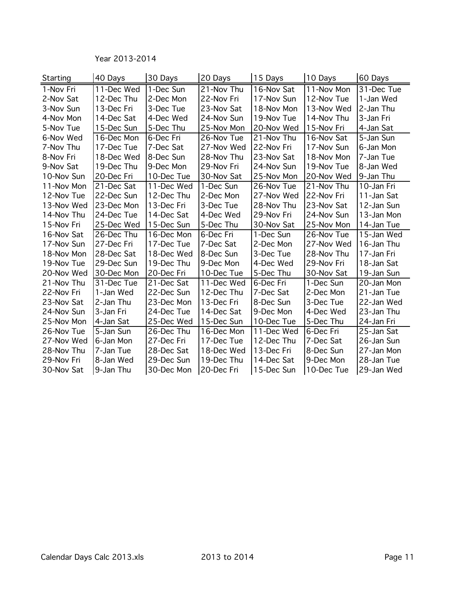Year 2013-2014

| <b>Starting</b> | 40 Days    | 30 Days    | 20 Days    | 15 Days    | 10 Days    | 60 Days    |
|-----------------|------------|------------|------------|------------|------------|------------|
| 1-Nov Fri       | 11-Dec Wed | 1-Dec Sun  | 21-Nov Thu | 16-Nov Sat | 11-Nov Mon | 31-Dec Tue |
| 2-Nov Sat       | 12-Dec Thu | 2-Dec Mon  | 22-Nov Fri | 17-Nov Sun | 12-Nov Tue | 1-Jan Wed  |
| 3-Nov Sun       | 13-Dec Fri | 3-Dec Tue  | 23-Nov Sat | 18-Nov Mon | 13-Nov Wed | 2-Jan Thu  |
| 4-Nov Mon       | 14-Dec Sat | 4-Dec Wed  | 24-Nov Sun | 19-Nov Tue | 14-Nov Thu | 3-Jan Fri  |
| 5-Nov Tue       | 15-Dec Sun | 5-Dec Thu  | 25-Nov Mon | 20-Nov Wed | 15-Nov Fri | 4-Jan Sat  |
| 6-Nov Wed       | 16-Dec Mon | 6-Dec Fri  | 26-Nov Tue | 21-Nov Thu | 16-Nov Sat | 5-Jan Sun  |
| 7-Nov Thu       | 17-Dec Tue | 7-Dec Sat  | 27-Nov Wed | 22-Nov Fri | 17-Nov Sun | 6-Jan Mon  |
| 8-Nov Fri       | 18-Dec Wed | 8-Dec Sun  | 28-Nov Thu | 23-Nov Sat | 18-Nov Mon | 7-Jan Tue  |
| 9-Nov Sat       | 19-Dec Thu | 9-Dec Mon  | 29-Nov Fri | 24-Nov Sun | 19-Nov Tue | 8-Jan Wed  |
| 10-Nov Sun      | 20-Dec Fri | 10-Dec Tue | 30-Nov Sat | 25-Nov Mon | 20-Nov Wed | 9-Jan Thu  |
| 11-Nov Mon      | 21-Dec Sat | 11-Dec Wed | 1-Dec Sun  | 26-Nov Tue | 21-Nov Thu | 10-Jan Fri |
| 12-Nov Tue      | 22-Dec Sun | 12-Dec Thu | 2-Dec Mon  | 27-Nov Wed | 22-Nov Fri | 11-Jan Sat |
| 13-Nov Wed      | 23-Dec Mon | 13-Dec Fri | 3-Dec Tue  | 28-Nov Thu | 23-Nov Sat | 12-Jan Sun |
| 14-Nov Thu      | 24-Dec Tue | 14-Dec Sat | 4-Dec Wed  | 29-Nov Fri | 24-Nov Sun | 13-Jan Mon |
| 15-Nov Fri      | 25-Dec Wed | 15-Dec Sun | 5-Dec Thu  | 30-Nov Sat | 25-Nov Mon | 14-Jan Tue |
| 16-Nov Sat      | 26-Dec Thu | 16-Dec Mon | 6-Dec Fri  | 1-Dec Sun  | 26-Nov Tue | 15-Jan Wed |
| 17-Nov Sun      | 27-Dec Fri | 17-Dec Tue | 7-Dec Sat  | 2-Dec Mon  | 27-Nov Wed | 16-Jan Thu |
| 18-Nov Mon      | 28-Dec Sat | 18-Dec Wed | 8-Dec Sun  | 3-Dec Tue  | 28-Nov Thu | 17-Jan Fri |
| 19-Nov Tue      | 29-Dec Sun | 19-Dec Thu | 9-Dec Mon  | 4-Dec Wed  | 29-Nov Fri | 18-Jan Sat |
| 20-Nov Wed      | 30-Dec Mon | 20-Dec Fri | 10-Dec Tue | 5-Dec Thu  | 30-Nov Sat | 19-Jan Sun |
| 21-Nov Thu      | 31-Dec Tue | 21-Dec Sat | 11-Dec Wed | 6-Dec Fri  | 1-Dec Sun  | 20-Jan Mon |
| 22-Nov Fri      | 1-Jan Wed  | 22-Dec Sun | 12-Dec Thu | 7-Dec Sat  | 2-Dec Mon  | 21-Jan Tue |
| 23-Nov Sat      | 2-Jan Thu  | 23-Dec Mon | 13-Dec Fri | 8-Dec Sun  | 3-Dec Tue  | 22-Jan Wed |
| 24-Nov Sun      | 3-Jan Fri  | 24-Dec Tue | 14-Dec Sat | 9-Dec Mon  | 4-Dec Wed  | 23-Jan Thu |
| 25-Nov Mon      | 4-Jan Sat  | 25-Dec Wed | 15-Dec Sun | 10-Dec Tue | 5-Dec Thu  | 24-Jan Fri |
| 26-Nov Tue      | 5-Jan Sun  | 26-Dec Thu | 16-Dec Mon | 11-Dec Wed | 6-Dec Fri  | 25-Jan Sat |
| 27-Nov Wed      | 6-Jan Mon  | 27-Dec Fri | 17-Dec Tue | 12-Dec Thu | 7-Dec Sat  | 26-Jan Sun |
| 28-Nov Thu      | 7-Jan Tue  | 28-Dec Sat | 18-Dec Wed | 13-Dec Fri | 8-Dec Sun  | 27-Jan Mon |
| 29-Nov Fri      | 8-Jan Wed  | 29-Dec Sun | 19-Dec Thu | 14-Dec Sat | 9-Dec Mon  | 28-Jan Tue |
| 30-Nov Sat      | 9-Jan Thu  | 30-Dec Mon | 20-Dec Fri | 15-Dec Sun | 10-Dec Tue | 29-Jan Wed |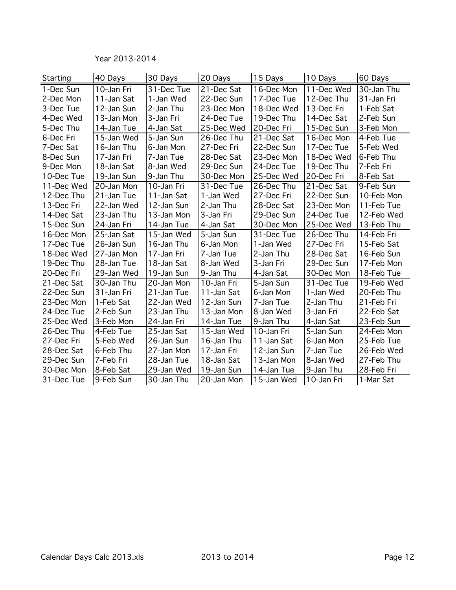Year 2013-2014

| Starting   | 40 Days    | 30 Days    | 20 Days    | 15 Days    | 10 Days    | 60 Days    |
|------------|------------|------------|------------|------------|------------|------------|
| 1-Dec Sun  | 10-Jan Fri | 31-Dec Tue | 21-Dec Sat | 16-Dec Mon | 11-Dec Wed | 30-Jan Thu |
| 2-Dec Mon  | 11-Jan Sat | 1-Jan Wed  | 22-Dec Sun | 17-Dec Tue | 12-Dec Thu | 31-Jan Fri |
| 3-Dec Tue  | 12-Jan Sun | 2-Jan Thu  | 23-Dec Mon | 18-Dec Wed | 13-Dec Fri | 1-Feb Sat  |
| 4-Dec Wed  | 13-Jan Mon | 3-Jan Fri  | 24-Dec Tue | 19-Dec Thu | 14-Dec Sat | 2-Feb Sun  |
| 5-Dec Thu  | 14-Jan Tue | 4-Jan Sat  | 25-Dec Wed | 20-Dec Fri | 15-Dec Sun | 3-Feb Mon  |
| 6-Dec Fri  | 15-Jan Wed | 5-Jan Sun  | 26-Dec Thu | 21-Dec Sat | 16-Dec Mon | 4-Feb Tue  |
| 7-Dec Sat  | 16-Jan Thu | 6-Jan Mon  | 27-Dec Fri | 22-Dec Sun | 17-Dec Tue | 5-Feb Wed  |
| 8-Dec Sun  | 17-Jan Fri | 7-Jan Tue  | 28-Dec Sat | 23-Dec Mon | 18-Dec Wed | 6-Feb Thu  |
| 9-Dec Mon  | 18-Jan Sat | 8-Jan Wed  | 29-Dec Sun | 24-Dec Tue | 19-Dec Thu | 7-Feb Fri  |
| 10-Dec Tue | 19-Jan Sun | 9-Jan Thu  | 30-Dec Mon | 25-Dec Wed | 20-Dec Fri | 8-Feb Sat  |
| 11-Dec Wed | 20-Jan Mon | 10-Jan Fri | 31-Dec Tue | 26-Dec Thu | 21-Dec Sat | 9-Feb Sun  |
| 12-Dec Thu | 21-Jan Tue | 11-Jan Sat | 1-Jan Wed  | 27-Dec Fri | 22-Dec Sun | 10-Feb Mon |
| 13-Dec Fri | 22-Jan Wed | 12-Jan Sun | 2-Jan Thu  | 28-Dec Sat | 23-Dec Mon | 11-Feb Tue |
| 14-Dec Sat | 23-Jan Thu | 13-Jan Mon | 3-Jan Fri  | 29-Dec Sun | 24-Dec Tue | 12-Feb Wed |
| 15-Dec Sun | 24-Jan Fri | 14-Jan Tue | 4-Jan Sat  | 30-Dec Mon | 25-Dec Wed | 13-Feb Thu |
| 16-Dec Mon | 25-Jan Sat | 15-Jan Wed | 5-Jan Sun  | 31-Dec Tue | 26-Dec Thu | 14-Feb Fri |
| 17-Dec Tue | 26-Jan Sun | 16-Jan Thu | 6-Jan Mon  | 1-Jan Wed  | 27-Dec Fri | 15-Feb Sat |
| 18-Dec Wed | 27-Jan Mon | 17-Jan Fri | 7-Jan Tue  | 2-Jan Thu  | 28-Dec Sat | 16-Feb Sun |
| 19-Dec Thu | 28-Jan Tue | 18-Jan Sat | 8-Jan Wed  | 3-Jan Fri  | 29-Dec Sun | 17-Feb Mon |
| 20-Dec Fri | 29-Jan Wed | 19-Jan Sun | 9-Jan Thu  | 4-Jan Sat  | 30-Dec Mon | 18-Feb Tue |
| 21-Dec Sat | 30-Jan Thu | 20-Jan Mon | 10-Jan Fri | 5-Jan Sun  | 31-Dec Tue | 19-Feb Wed |
| 22-Dec Sun | 31-Jan Fri | 21-Jan Tue | 11-Jan Sat | 6-Jan Mon  | 1-Jan Wed  | 20-Feb Thu |
| 23-Dec Mon | 1-Feb Sat  | 22-Jan Wed | 12-Jan Sun | 7-Jan Tue  | 2-Jan Thu  | 21-Feb Fri |
| 24-Dec Tue | 2-Feb Sun  | 23-Jan Thu | 13-Jan Mon | 8-Jan Wed  | 3-Jan Fri  | 22-Feb Sat |
| 25-Dec Wed | 3-Feb Mon  | 24-Jan Fri | 14-Jan Tue | 9-Jan Thu  | 4-Jan Sat  | 23-Feb Sun |
| 26-Dec Thu | 4-Feb Tue  | 25-Jan Sat | 15-Jan Wed | 10-Jan Fri | 5-Jan Sun  | 24-Feb Mon |
| 27-Dec Fri | 5-Feb Wed  | 26-Jan Sun | 16-Jan Thu | 11-Jan Sat | 6-Jan Mon  | 25-Feb Tue |
| 28-Dec Sat | 6-Feb Thu  | 27-Jan Mon | 17-Jan Fri | 12-Jan Sun | 7-Jan Tue  | 26-Feb Wed |
| 29-Dec Sun | 7-Feb Fri  | 28-Jan Tue | 18-Jan Sat | 13-Jan Mon | 8-Jan Wed  | 27-Feb Thu |
| 30-Dec Mon | 8-Feb Sat  | 29-Jan Wed | 19-Jan Sun | 14-Jan Tue | 9-Jan Thu  | 28-Feb Fri |
| 31-Dec Tue | 9-Feb Sun  | 30-Jan Thu | 20-Jan Mon | 15-Jan Wed | 10-Jan Fri | 1-Mar Sat  |